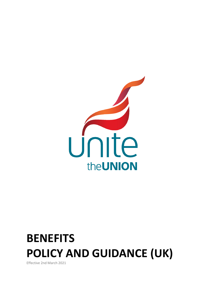

# **BENEFITS POLICY AND GUIDANCE (UK)**

Effective 2nd March 2021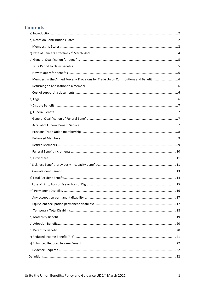# **Contents**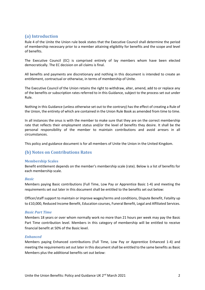# <span id="page-2-0"></span>**(a) Introduction**

Rule 4 of the Unite the Union rule book states that the Executive Council shall determine the period of membership necessary prior to a member attaining eligibility for benefits and the scope and level of benefits.

The Executive Council (EC) is comprised entirely of lay members whom have been elected democratically. The EC decision on all claims is final.

All benefits and payments are discretionary and nothing in this document is intended to create an entitlement, contractual or otherwise, in terms of membership of Unite.

The Executive Council of the Union retains the right to withdraw, alter, amend, add to or replace any of the benefits or subscription rates referred to in this Guidance, subject to the process set out under Rule.

Nothing in this Guidance (unless otherwise set out to the contrary) has the effect of creating a Rule of the Union, the entirety of which are contained in the Union Rule Book as amended from time to time.

In all instances the onus is with the member to make sure that they are on the correct membership rate that reflects their employment status and/or the level of benefits they desire. It shall be the personal responsibility of the member to maintain contributions and avoid arrears in all circumstances.

This policy and guidance document is for all members of Unite the Union in the United Kingdom.

# <span id="page-2-1"></span>**(b) Notes on Contributions Rates**

## <span id="page-2-2"></span>**Membership Scales**

Benefit entitlement depends on the member's membership scale (rate). Below is a list of benefits for each membership scale.

#### *Basic*

Members paying Basic contributions (Full Time, Low Pay or Apprentice Basic 1-4) and meeting the requirements set out later in this document shall be entitled to the benefits set out below:

Officer/staff support to maintain or improve wages/terms and conditions, Dispute Benefit, Fatality up to £10,000, Reduced Income Benefit, Education courses, Funeral Benefit, Legal and Affiliated Services.

#### *Basic Part Time*

Members 18 years or over whom normally work no more than 21 hours per week may pay the Basic Part Time contribution level. Members in this category of membership will be entitled to receive financial benefit at 50% of the Basic level.

## *Enhanced*

Members paying Enhanced contributions (Full Time, Low Pay or Apprentice Enhanced 1-4) and meeting the requirements set out later in this document shall be entitled to the same benefits as Basic Members plus the additional benefits set out below: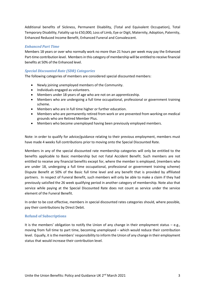Additional benefits of Sickness, Permanent Disability, (Total and Equivalent Occupation), Total Temporary Disability, Fatality up to £50,000, Loss of Limb, Eye or Digit, Maternity, Adoption, Paternity, Enhanced Reduced Income Benefit, Enhanced Funeral and Convalescent.

## *Enhanced Part Time*

Members 18 years or over who normally work no more than 21 hours per week may pay the Enhanced Part-time contribution level. Members in this category of membership will be entitled to receive financial benefits at 50% of the Enhanced level.

## *Special Discounted Rate (SDR) Categories*

The following categories of members are considered special discounted members:

- Newly joining unemployed members of the Community.
- Individuals engaged as volunteers.
- Members under 18 years of age who are not on an apprenticeship.
- Members who are undergoing a full time occupational, professional or government training scheme.
- Members who are in full time higher or further education.
- Members who are permanently retired from work or are prevented from working on medical grounds who are Retired Member Plus.
- Members who become unemployed having been previously employed members.

Note: in order to qualify for advice/guidance relating to their previous employment, members must have made 4 weeks full contributions prior to moving onto the Special Discounted Rate.

Members in any of the special discounted rate membership categories will only be entitled to the benefits applicable to Basic membership but not Fatal Accident Benefit. Such members are not entitled to receive any financial benefits except for, where the member is employed, (members who are under 18, undergoing a full time occupational, professional or government training scheme) Dispute Benefit at 50% of the Basic full time level and any benefit that is provided by affiliated partners. In respect of Funeral Benefit, such members will only be able to make a claim if they had previously satisfied the 26 week qualifying period in another category of membership. Note also that service while paying at the Special Discounted Rate does not count as service under the service element of the Funeral Benefit.

In order to be cost effective, members in special discounted rates categories should, where possible, pay their contributions by Direct Debit.

## **Refund of Subscriptions**

It is the members' obligation to notify the Union of any change in their employment status  $-e.g.,$ moving from full time to part time, becoming unemployed – which would reduce their contribution level. Equally, it is the members' responsibility to inform the Union of any change in their employment status that would increase their contribution level.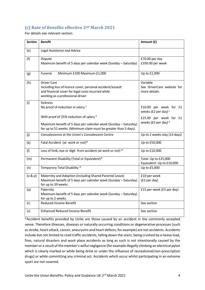# <span id="page-4-0"></span>**(c) Rate of Benefits effective 2nd March 2021**

For details see relevant section

| <b>Section</b> | <b>Benefit</b>                                                                                                                                                                           | Amount (£)                                              |
|----------------|------------------------------------------------------------------------------------------------------------------------------------------------------------------------------------------|---------------------------------------------------------|
| (e)            | Legal Assistance and Advice                                                                                                                                                              |                                                         |
| (f)            | Dispute<br>Maximum benefit of 5 days per calendar week (Sunday - Saturday)                                                                                                               | £70.00 per day<br>£350.00 per week                      |
| (g)            | Funeral<br>Minimum £100 Maximum £1,000                                                                                                                                                   | Up to £1,000                                            |
| (h)            | <b>Driver Care</b><br>Including loss of licence cover, personal accident/assault<br>and financial cover for legal costs incurred while<br>working as a professional driver               | Variable<br>See DriverCare website for<br>more details. |
| (i)            | <b>Sickness</b><br>No proof of reduction in salary 1                                                                                                                                     | £10.00 per week for 51<br>weeks (£2 per day) $1$        |
|                | With proof of 25% reduction of salary <sup>2</sup><br>Maximum benefit of 5 days per calendar week (Sunday - Saturday)<br>for up to 51 weeks. (Minimum claim must be greater than 5 days) | £25.00 per week for 51<br>weeks (£5 per day) $2$        |
| (i)            | Convalescence at the Union's Convalescent Centre                                                                                                                                         | Up to 2 weeks stay (14 days)                            |
| (k)            | Fatal Accident (at work or not)*                                                                                                                                                         | Up to £50,000                                           |
| (1)            | Loss of limb, eye or digit from accident (at work or not) *                                                                                                                              | Up to £10,000                                           |
| (m)            | Permanent Disability (Total or Equivalent)*                                                                                                                                              | Total: Up to £25,000<br>Equivalent: Up to £10,000       |
| (n)            | Temporary Total Disability *                                                                                                                                                             | Up to £5,000                                            |
| (o & p)        | Maternity and Adoption (including Shared Parental Leave)<br>Maximum benefit of 5 days per calendar week (Sunday - Saturday)<br>for up to 39 weeks.                                       | £10 per week<br>(£2 per day)                            |
| (q)            | Paternity<br>Maximum benefit of 5 days per calendar week (Sunday - Saturday)<br>for up to 2 weeks.                                                                                       | £15 per week (£3 per day)                               |
| (r)            | Reduced Income Benefit                                                                                                                                                                   | See section                                             |
| (s)            | <b>Enhanced Reduced Income Benefit</b>                                                                                                                                                   | See section                                             |

\*Accident benefits provided by Unite are those caused by an accident in the commonly accepted sense. Therefore illnesses, diseases or naturally occurring conditions or degenerative processes (such as stroke, heart attack, cancer, aneurysms and heart defects, for example) are not accidents. Accidents include but not limited to road traffic accidents, falling down the stairs, being crushed by a heavy load, fires, natural disasters and work place accidents as long as such is not intentionally caused by the member or a result of the member's wilful negligence (for example illegally climbing an electrical pylon which is clearly marked or while being drink or under the influence of recreational/non-prescription drugs) or while committing any criminal act. Accidents which occur whilst participating in an extreme sport are not covered.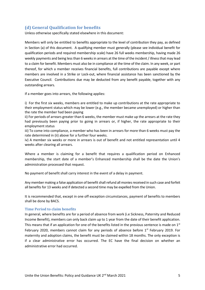# <span id="page-5-0"></span>**(d) General Qualification for benefits**

Unless otherwise specifically stated elsewhere in this document:

Members will only be entitled to benefits appropriate to the level of contribution they pay, as defined in Section (a) of this document. A qualifying member must generally (please see individual benefit for qualification periods and required membership scale) have 26 full weeks membership, having made 26 weekly payments and being less than 6 weeks in arrears at the time of the incident / illness that may lead to a claim for benefit. Members must also be in compliance at the time of the claim. In any week, or part thereof, for which a member receives financial benefits, full contributions are payable except where members are involved in a Strike or Lock-out, where financial assistance has been sanctioned by the Executive Council. Contributions due may be deducted from any benefit payable, together with any outstanding arrears.

If a member goes into arrears, the following applies:

i) For the first six weeks, members are entitled to make up contributions at the rate appropriate to their employment status which may be lower (e.g., the member became unemployed) or higher than the rate the member had been paying

ii) For periods of arrears greater than 6 weeks, the member must make up the arrears at the rate they had previously been paying prior to going in arrears or, if higher, the rate appropriate to their employment status

iii) To come into compliance, a member who has been in arrears for more than 6 weeks must pay the rate determined in (ii) above for a further four weeks.

iv) A member six weeks or more in arrears is out of benefit and not entitled representation until 4 weeks after clearing all arrears.

Where a member is claiming for a benefit that requires a qualification period on Enhanced membership, the start date of a member's Enhanced membership shall be the date the Union's administration processed that request.

No payment of benefit shall carry interest in the event of a delay in payment.

Any member making a false application of benefit shall refund all monies received in such case and forfeit all benefits for 13 weeks and if detected a second time may be expelled from the Union.

It is recommended that, except in one off exception circumstances, payment of benefits to members shall be done by BACS.

#### <span id="page-5-1"></span>**Time Period to claim benefits**

In general, where benefits are for a period of absence from work (i.e Sickness, Paternity and Reduced Income Benefit), members can only back claim up to 1 year from the date of their benefit application. This means that if an application for one of the benefits listed in the previous sentence is made on  $1<sup>st</sup>$ February 2020, members cannot claim for any periods of absence before  $1<sup>st</sup>$  February 2019. For maternity and adoption claims, the benefit must be claimed within 18 months. The only exception is if a clear administrative error has occurred. The EC have the final decision on whether an administrative error had occurred.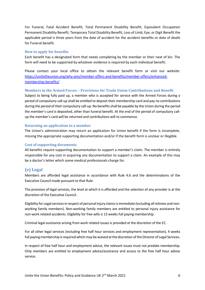For Funeral, Fatal Accident Benefit, Total Permanent Disability Benefit, Equivalent Occupation Permanent Disability Benefit, Temporary Total Disability Benefit, Loss of Limb, Eye, or Digit Benefit the applicable period is three years from the date of accident for the accident benefits or date of death for Funeral benefit.

#### <span id="page-6-0"></span>**How to apply for benefits**

Each benefit has a designated form that needs completing by the member or their next of kin. The form will need to be supported by whatever evidence is required by each individual benefit.

Please contact your local office to obtain the relevant benefit form or visit our website: [https://unitetheunion.org/why-join/member-offers-and-benefits/member-offers/enhanced](https://unitetheunion.org/why-join/member-offers-and-benefits/member-offers/enhanced-membership-benefits/)[membership-benefits/](https://unitetheunion.org/why-join/member-offers-and-benefits/member-offers/enhanced-membership-benefits/)

#### <span id="page-6-1"></span>**Members in the Armed Forces – Provisions for Trade Union Contributions and Benefit**

Subject to being fully paid up, a member who is accepted for service with the Armed Forces during a period of compulsory call-up shall be entitled to deposit their membership card and pay no contributions during the period of their compulsory call-up. No benefits shall be payable by the Union during the period the member's card is deposited, other than funeral benefit. At the end of the period of compulsory callup the member's card will be returned and contributions will re-commence.

#### <span id="page-6-2"></span>**Returning an application to a member**

The Union's administration may return an application for Union benefit if the form is incomplete, missing the appropriate supporting documentation and/or if the benefit form is unclear or illegible.

#### <span id="page-6-3"></span>**Cost of supporting documents**

All benefits require supporting documentation to support a member's claim. The member is entirely responsible for any cost in acquiring any documentation to support a claim. An example of this may be a doctor's letter which some medical professionals charge for.

## <span id="page-6-4"></span>**(e) Legal**

Members are afforded legal assistance in accordance with Rule 4.6 and the determinations of the Executive Council made pursuant to that Rule.

The provision of legal services, the level at which it is afforded and the selection of any provider is at the discretion of the Executive Council.

Eligibility for Legal services in respect of personal injury claims is immediate (including all retirees and nonworking family members). Non-working family members are entitled to personal injury assistance for non-work related accidents. Eligibility for free wills is 13 weeks full paying membership.

Criminal legal assistance arising from work related issues is provided at the discretion of the EC.

For all other legal services (including free half hour services and employment representation), 4 weeks full paying membership is required which may be waived at the discretion of the Director of Legal Services.

In respect of free half hour and employment advice, the relevant issues must not predate membership. Only members are entitled to employment advice/assistance and access to the free half hour advice service.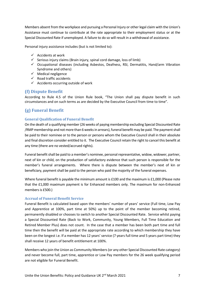Members absent from the workplace and pursuing a Personal Injury or other legal claim with the Union's Assistance must continue to contribute at the rate appropriate to their employment status or at the Special Discounted Rate if unemployed. A failure to do so will result in a withdrawal of assistance.

Personal injury assistance includes (but is not limited to):

- $\checkmark$  Accidents at work
- $\checkmark$  Serious injury claims (Brain injury, spinal cord damage, loss of limb)
- $\checkmark$  Occupational diseases (including Asbestos, Deafness, RSI, Dermatitis, Hand/arm Vibration Syndrome and others)
- $\checkmark$  Medical negligence
- $\checkmark$  Road traffic accidents
- $\checkmark$  Accidents occurring outside of work

# <span id="page-7-0"></span>**(f) Dispute Benefit**

According to Rule 4.5 of the Union Rule book, "The Union shall pay dispute benefit in such circumstances and on such terms as are decided by the Executive Council from time to time".

# <span id="page-7-1"></span>**(g) Funeral Benefit**

## <span id="page-7-2"></span>**General Qualification of Funeral Benefit**

On the death of a qualifying member (26 weeks of paying membership excluding Special Discounted Rate /RMP membership and not more than 6 weeks in arrears), funeral benefit may be paid. The payment shall be paid to their nominee or to the person or persons whom the Executive Council shall in their absolute and final discretion consider entitled to it. The Executive Council retain the right to cancel this benefit at any time (there are no vested/accrued rights).

Funeral benefit shall be paid to a member's nominee, personal representative, widow, widower, partner, next of kin or child, on the production of satisfactory evidence that such person is responsible for the member's funeral arrangements. Where there is dispute between the member's next of kin or beneficiary, payment shall be paid to the person who paid the majority of the funeral expenses.

Where funeral benefit is payable the minimum amount is £100 and the maximum is £1,000 (Please note that the £1,000 maximum payment is for Enhanced members only. The maximum for non-Enhanced members is £500.)

#### <span id="page-7-3"></span>**Accrual of Funeral Benefit Service**

Funeral Benefit is calculated based upon the members' number of years' service (Full time, Low Pay and Apprentice at 100%, part time at 50%) up to the point of the member becoming retired, permanently disabled or chooses to switch to another Special Discounted Rate. Service whilst paying a Special Discounted Rate (Back to Work, Community, Young Members, Full Time Education and Retired Member Plus) does not count. In the case that a member has been both part time and full time then the benefit will be paid at the appropriate rate according to which membership they have been on the longest i.e. If a member has 12 years' service (7 years full time and 5 years part time) they shall receive 12 years of benefit entitlement at 100%.

Members who join the Union as Community Members (or any other Special Discounted Rate category) and never become full, part time, apprentice or Low Pay members for the 26 week qualifying period are not eligible for Funeral Benefit.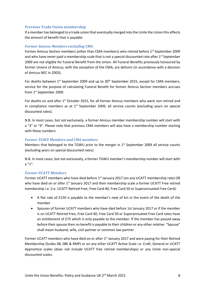## <span id="page-8-0"></span>**Previous Trade Union membership**

If a member has belonged to a trade union that eventually merged into the Unite the Union this effects the amount of benefit that is payable:

## *Former Amicus Members excluding CMA*

Former Amicus Section members (other than CMA members) who retired before 1<sup>st</sup> September 2009 and who have never paid a membership scale that is not a special discounted rate after 1<sup>st</sup> September 2009 are not eligible for Funeral Benefit from the Union. All Funeral Benefits previously honoured by former Unions of Amicus, with the exception of the CMA, are defunct (in accordance with a decision of Amicus NEC in 2003).

For deaths between  $1^{st}$  September 2009 and up to  $30^{th}$  September 2015, except for CMA members, service for the purpose of calculating Funeral Benefit for former Amicus Section members accrues from 1st September 2009.

For deaths on and after 1<sup>st</sup> October 2015, for all former Amicus members who were non retired and in compliance members as at  $1<sup>st</sup>$  September 2009, all service counts (excluding years on special discounted rates).

N.B. In most cases, but not exclusively, a former Amicus member membership number will start with a "3" or "4". Please note that previous CMA members will also have a membership number starting with these numbers.

## *Former TGWU Members and CMA members*

Members that belonged to the TGWU prior to the merger in  $1<sup>st</sup>$  September 2009 all service counts (excluding years on special discounted rates)

N.B. In most cases, but not exclusively, a former TGWU member's membership number will start with a "1".

## *Former UCATT Members*

Former UCATT members who have died before 1<sup>st</sup> January 2017 (on any UCATT membership rate) OR who have died on or after 1<sup>st</sup> January 2017 and their membership scale a former UCATT Free retired membership i.e. (i.e. UCATT Retired Free, Free Card 40, Free Card 50 or Superannuated Free Card):

- A flat rate of £150 is payable to the member's next of kin in the event of the death of the member
- Spouses of former UCATT members who have died before 1st January 2017 or if the member is on UCATT Retired Free, Free Card 40, Free Card 50 or Superannuated Free Card rates have an entitlement of £75 which is only payable to the member. If the member has passed away before their spouse then no benefit is payable to their children or any other relative. "Spouse" shall mean husband, wife, civil partner or common law partner.

Former UCATT members who have died on or after 1<sup>st</sup> January 2017 and were paying for their Retired Membership (Scales 08, 08E & RMP) or on any other UCATT Active Scale i.e. Craft, General or UCATT Apprentice scales (does not include UCATT free retired memberships) or any Unite non-special discounted scales.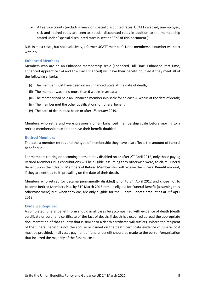All service counts (excluding years on special discounted rates. UCATT disabled, unemployed, sick and retired rates are seen as special discounted rates in addition to the membership stated under "special discounted rates is section" "b" of this document.)

N.B. In most cases, but not exclusively, a former UCATT member's Unite membership number will start with a 5

## <span id="page-9-0"></span>**Enhanced Members**

Members who are on an Enhanced membership scale (Enhanced Full Time, Enhanced Part Time, Enhanced Apprentice 1-4 and Low Pay Enhanced) will have their benefit doubled if they meet all of the following criteria:

- (i) The member must have been on an Enhanced Scale at the date of death;
- (ii) The member was in no more than 6 weeks in arrears;
- (iii) The member had paid an Enhanced membership scale for at least 26 weeks at the date of death;
- (iv) The member met the other qualifications for funeral benefit.
- (v) The date of death must be on or after  $1<sup>st</sup>$  January 2019.

Members who retire and were previously on an Enhanced membership scale before moving to a retired membership rate do not have their benefit doubled.

## <span id="page-9-1"></span>**Retired Members**

The date a member retires and the type of membership they have also affects the amount of funeral benefit due.

For members retiring or becoming permanently disabled on or after 2<sup>nd</sup> April 2012, only those paying Retired Members Plus contributions will be eligible, assuming they otherwise were, to claim Funeral Benefit upon their death. Members of Retired Member Plus will receive the Funeral Benefit amount, if they are entitled to it, prevailing on the date of their death.

Members who retired (or became permanently disabled) prior to 2<sup>nd</sup> April 2012 and chose not to become Retired Members Plus by 31<sup>st</sup> March 2015 remain eligible for Funeral Benefit (assuming they otherwise were) but, when they die, are only eligible for the Funeral Benefit amount as at  $2^{nd}$  April 2012.

#### **Evidence Required**

A completed funeral benefit form should in all cases be accompanied with evidence of death (death certificate or coroner's certificate of the fact of death. If death has occurred abroad the appropriate documentation of that country that is similar to a death certificate will suffice). Where the recipient of the funeral benefit is not the spouse or named on the death certificate evidence of funeral cost must be provided. In all cases payment of funeral benefit should be made to the person/organisation that incurred the majority of the funeral costs.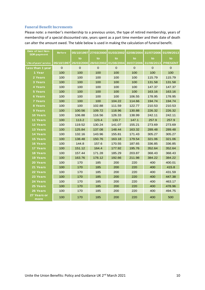## <span id="page-10-0"></span>**Funeral Benefit Increments**

Please note: a member's membership to a previous union, the type of retired membership, years of membership of a special discounted rate, years spent as a part time member and their date of death can alter the amount owed. The table below is used in making the calculation of funeral benefit.

| Date of last Non-<br><b>SDR</b> payment | <b>Before</b> | 05/10/1997  | 27/03/2000   | 01/03/2002  | 02/08/2004                       | 31/07/2006  | 01/09/2013     |
|-----------------------------------------|---------------|-------------|--------------|-------------|----------------------------------|-------------|----------------|
|                                         |               | to          | to           | to          | to                               | to          | to             |
| No of years' service                    | 05/10/1997    | 26/03/2000  | 28/02/2002   |             | 01/08/2004 30/07/2006 31/08/2013 |             | <b>PRESENT</b> |
| Less than 1 year                        | $\mathbf 0$   | $\mathbf 0$ | $\mathbf{0}$ | $\mathbf 0$ | $\mathsf{O}\xspace$              | $\mathbf 0$ | $\mathbf 0$    |
| 1 Year                                  | 100           | 100         | 100          | 100         | 100                              | 100         | 100            |
| 2 Years                                 | 100           | 100         | 100          | 100         | 100                              | 115.79      | 115.79         |
| <b>3 Years</b>                          | 100           | 100         | 100          | 100         | 100                              | 131.58      | 131.58         |
| <b>4 Years</b>                          | 100           | 100         | 100          | 100         | 100                              | 147.37      | 147.37         |
| <b>5 Years</b>                          | 100           | 100         | 100          | 100         | 100                              | 163.16      | 163.16         |
| 6 Years                                 | 100           | 100         | 100          | 100         | 106.55                           | 178.95      | 178.95         |
| <b>7 Years</b>                          | 100           | 100         | 100          | 104.22      | 114.66                           | 194.74      | 194.74         |
| 8 Years                                 | 100           | 100         | 102.88       | 111.59      | 122.77                           | 210.53      | 210.53         |
| 9 Years                                 | 100           | 100.56      | 109.72       | 118.96      | 130.88                           | 226.32      | 226.32         |
| <b>10 Years</b>                         | 100           | 106.88      | 116.56       | 126.33      | 138.99                           | 242.11      | 242.11         |
| 11 Years                                | 100           | 113.2       | 123.4        | 133.7       | 147.1                            | 257.9       | 257.9          |
| <b>12 Years</b>                         | 100           | 119.52      | 130.24       | 141.07      | 155.21                           | 273.69      | 273.69         |
| 13 Years                                | 100           | 125.84      | 137.08       | 148.44      | 163.32                           | 289.48      | 289.48         |
| 14 Years                                | 100           | 132.16      | 143.96       | 155.81      | 171.43                           | 305.27      | 305.27         |
| <b>15 Years</b>                         | 100           | 138.48      | 150.76       | 163.18      | 179.54                           | 321.06      | 321.06         |
| <b>16 Years</b>                         | 100           | 144.8       | 157.6        | 170.55      | 187.65                           | 336.85      | 336.85         |
| 17 Years                                | 100           | 151.12      | 164.4        | 177.92      | 195.76                           | 352.64      | 352.64         |
| <b>18 Years</b>                         | 100           | 157.44      | 171.28       | 185.29      | 203.87                           | 368.43      | 368.43         |
| <b>19 Years</b>                         | 100           | 163.76      | 178.12       | 192.66      | 211.98                           | 384.22      | 384.22         |
| <b>20 Years</b>                         | 100           | 170         | 185          | 200         | 220                              | 400         | 400.01         |
| 21 Years                                | 100           | 170         | 185          | 200         | 220                              | 400         | 415.8          |
| 22 Years                                | 100           | 170         | 185          | 200         | 220                              | 400         | 431.59         |
| 23 Years                                | 100           | 170         | 185          | 200         | 220                              | 400         | 447.38         |
| 24 Years                                | 100           | 170         | 185          | 200         | 220                              | 400         | 463.17         |
| 25 Years                                | 100           | 170         | 185          | 200         | 220                              | 400         | 478.96         |
| 26 Years                                | 100           | 170         | 185          | 200         | 220                              | 400         | 494.75         |
| 27 Years or<br>more                     | 100           | 170         | 185          | 200         | 220                              | 400         | 500            |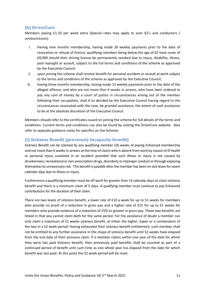# <span id="page-11-0"></span>**(h) DriverCare**

Members paying £1.10 per week extra (Special rates may apply to over 62's and conductors / conductresses):

- i. Having nine months membership, having made 39 weekly payments prior to the date of revocation or refusal of licence, qualifying members being below the age of 62 have cover of £8,000 should their driving licence be permanently revoked due to injury, disability, illness, poor eyesight or assault, subject to the full terms and conditions of the scheme as approved by the Executive Council;
- ii. upon joining the scheme shall receive benefit for personal accident or assault at work subject to the terms and conditions of the scheme as approved by the Executive Council;
- iii. having three months membership, having made 13 weekly payments prior to the date of the alleged offence, and who are not more than 6 weeks in arrears, who have been ordered to pay any sum of money by a court of justice in circumstances arising out of the member following their occupation, shall if so decided by the Executive Council having regard to the circumstances associated with the case, be granted assistance, the extent of such assistance to be at the absolute discretion of the Executive Council.

Members should refer to the certificates issued on joining the scheme for full details of the terms and conditions. Current terms and conditions can also be found by visiting the DriverCare website. Also refer to separate guidance notes for specifics on the Scheme.

# <span id="page-11-1"></span>**(i) Sickness Benefit (previously Incapacity benefit)**

Sickness Benefit can be claimed by any qualifying member (26 weeks of paying Enhanced membership and not more than 6 weeks in arrears at the time of claim) who is absent from work by reason of ill health or personal injury sustained in an accident provided that such illness or injury is not caused by drunkenness, recreational or non-prescription drugs, disorderly or improper conduct or through exposing themselves to unnecessary risk. This benefit is payable after the member has been on sick leave for seven calendar days due to illness or injury.

Furthermore a qualifying member must be off work for greater than 14 calendar days to claim sickness benefit and there is a minimum claim of 5 days. A qualifying member must continue to pay Enhanced contributions for the duration of their claim.

There are two levels of sickness benefit, a lower rate of £10 a week for up to 51 weeks for members who provide no proof of a reduction in gross pay and a higher rate of £25 for up to 51 weeks for members who provide evidence of a reduction of 25% or greater in gross pay. These two benefits are linked in that you cannot claim both for the same period. For the avoidance of doubt a member can only claim a maximum of 51 weeks sickness benefit, at either the higher, lower or a combination of the two in a 52 week period. Having exhausted their sickness benefit entitlement, such member shall not be entitled to any further assistance in the shape of sickness benefit until 52 weeks have elapsed from the end date of their previous claim. If a member claims within one year of the date for which they were last paid Sickness benefit, then previously paid benefits shall be counted as part of a continued period of benefit until such time as one whole year has elapsed from the date for which benefit was last paid. At this point the 52 week period will be reset.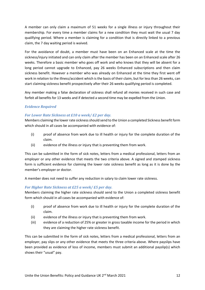A member can only claim a maximum of 51 weeks for a single illness or injury throughout their membership. For every time a member claims for a new condition they must wait the usual 7 day qualifying period. Where a member is claiming for a condition that is directly linked to a previous claim, the 7 day waiting period is waived.

For the avoidance of doubt, a member must have been on an Enhanced scale at the time the sickness/injury initiated and can only claim after the member has been on an Enhanced scale after 26 weeks. Therefore a basic member who goes off work and who knows that they will be absent for a long period cannot upgrade to Enhanced, pay 26 weeks Enhanced subscriptions and then claim sickness benefit. However a member who was already on Enhanced at the time they first went off work in relation to the illness/accident which is the basis of their claim, but for less than 26 weeks, can start claiming sickness benefit prospectively after their 26 weeks qualifying period is completed.

Any member making a false declaration of sickness shall refund all monies received in such case and forfeit all benefits for 13 weeks and if detected a second time may be expelled from the Union.

## *Evidence Required*

## *For Lower Rate Sickness at £10 a week/ £2 per day.*

Members claiming the lower rate sicknessshould send to the Union a completed Sickness benefit form which should in all cases be accompanied with evidence of:

- (i) proof of absence from work due to ill health or injury for the complete duration of the claim.
- (ii) evidence of the illness or injury that is preventing them from work.

This can be submitted in the form of sick notes, letters from a medical professional, letters from an employer or any other evidence that meets the two criteria above. A signed and stamped sickness form is sufficient evidence for claiming the lower rate sickness benefit as long as it is done by the member's employer or doctor.

A member does not need to suffer any reduction in salary to claim lower rate sickness.

## *For Higher Rate Sickness at £25 a week/ £5 per day.*

Members claiming the higher rate sickness should send to the Union a completed sickness benefit form which should in all cases be accompanied with evidence of:

- (i) proof of absence from work due to ill health or injury for the complete duration of the claim.
- (ii) evidence of the illness or injury that is preventing them from work.
- (iii) evidence of a reduction of 25% or greater in gross taxable income for the period in which they are claiming the higher rate sickness benefit.

This can be submitted in the form of sick notes, letters from a medical professional, letters from an employer, pay slips or any other evidence that meets the three criteria above. Where payslips have been provided as evidence of loss of income, members must submit an additional payslip(s) which shows their "usual" pay.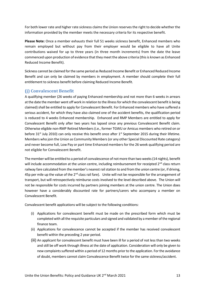For both lower rate and higher rate sickness claims the Union reservesthe right to decide whether the information provided by the member meets the necessary criteria for its respective benefit.

**Please Note:** Once a member exhausts their full 51 weeks sickness benefit, Enhanced members who remain employed but without pay from their employer would be eligible to have all Unite contributions waived for up to three years (in three month increments) from the date the leave commenced upon production of evidence that they meet the above criteria (this is known as Enhanced Reduced Income Benefit).

Sickness cannot be claimed for the same period as Reduced Income Benefit or Enhanced Reduced Income Benefit and can only be claimed by members in employment. A member should complete their full entitlement to sickness benefit before claiming Reduced Income Benefit.

# <span id="page-13-0"></span>**(j) Convalescent Benefit**

A qualifying member (26 weeks of paying Enhanced membership and not more than 6 weeks in arrears at the date the member went off work in relation to the illness for which the convalescent benefit is being claimed) shall be entitled to apply for Convalescent Benefit. For Enhanced members who have suffered a serious accident, for which they have also claimed one of the accident benefits, the qualification period is reduced to 4 weeks Enhanced membership. Enhanced and RMP Members are entitled to apply for Convalescent Benefit only after two years has lapsed since any previous Convalescent Benefit claim. Otherwise eligible non-RMP Retired Members (i.e., former TGWU or Amicus members who retired on or before  $31<sup>st</sup>$  July 2010) can only receive this benefit once after  $1<sup>st</sup>$  September 2015 during their lifetime. Members who join the Union as Community Members (or any other Special Discounted Rate category) and never become full, Low Pay or part time Enhanced members for the 26 week qualifying period are not eligible for Convalescent Benefit.

The member will be entitled to a period of convalescence of not more than two weeks (14 nights), benefit will include accommodation at the union centre, including reimbursement for receipted 2<sup>nd</sup> class return railway fare calculated from the member's nearest rail station to and from the union centre (or, if driving, 45p per mile up the value of the 2<sup>nd</sup> class rail fare). Unite will not be responsible for the arrangement of transport, but will retrospectively reimburse costs involved to the level described above. The Union will not be responsible for costs incurred by partners joining members at the union centre. The Union does however have a considerably discounted rate for partners/carers who accompany a member on Convalescent Benefit.

Convalescent benefit applications will be subject to the following conditions:

- (i) Applications for convalescent benefit must be made on the prescribed form which must be completed with all the requisite particulars and signed and validated by a member of the regional finance team.
- (ii) Applications for convalescence cannot be accepted if the member has received convalescent benefit within the preceding 2 year period.
- (iii) An applicant for convalescent benefit must have been ill for a period of not less than two weeks and still be off work through illness at the date of application. Consideration will only be given to new complaints suffered within a period of 12 months prior to the application. For the avoidance of doubt, members cannot claim Convalescence Benefit twice for the same sickness/accident.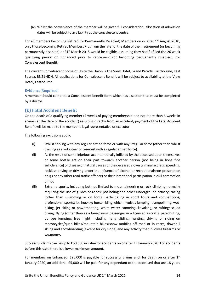(iv) Whilst the convenience of the member will be given full consideration, allocation of admission dates will be subject to availability at the convalescent centre.

For all members becoming Retired (or Permanently Disabled) Members on or after 1<sup>st</sup> August 2010, only those becoming Retired Members Plus from the later of the date of their retirement (or becoming permanently disabled) or  $31<sup>st</sup>$  March 2015 would be eligible, assuming they had fulfilled the 26 week qualifying period on Enhanced prior to retirement (or becoming permanently disabled), for Convalescent Benefit.

The current Convalescent home of Unite the Union is The View Hotel, Grand Parade, Eastbourne, East Sussex, BN21 4DN. All applications for Convalescent Benefit will be subject to availability at the View Hotel, Eastbourne.

## **Evidence Required**

A member should complete a Convalescent benefit form which has a section that must be completed by a doctor.

# <span id="page-14-0"></span>**(k) Fatal Accident Benefit**

On the death of a qualifying member (4 weeks of paying membership and not more than 6 weeks in arrears at the date of the accident) resulting directly from an accident, payment of the Fatal Accident Benefit will be made to the member's legal representative or executor.

The following exclusions apply:

- (i) Whilst serving with any regular armed force or with any irregular force (other than whilst training as a volunteer or reservist with a regular armed force).
- (ii) As the result of some injurious act intentionally inflicted by the deceased upon themselves or some hostile act on their part towards another person (not being in bona fide self-defence) or disease or natural causes or the deceased's own criminal act (e.g. speeding, reckless driving or driving under the influence of alcohol or recreational/non-prescription drugs or any other road traffic offence) or their intentional participation in civil commotion or riot
- (iii) Extreme sports, including but not limited to mountaineering or rock climbing normally requiring the use of guides or ropes; pot holing and other underground activity; racing (other than swimming or on foot); participating in sport tours and competitions; professional sports; ice hockey; horse riding which involves jumping; trampolining; wetbiking, jet skiing or powerboating; white water canoeing, kayaking, or rafting; scuba diving; flying (other than as a fare-paying passenger in a licensed aircraft); parachuting, bungee jumping; free flight including hang gliding; hunting; driving or riding on motorcycles/quad bikes/mountain bikes/snow mobiles off road or in races; downhill skiing and snowboarding (except for dry slope) and any activity that involves firearms or weaponry.

Successful claims can be up to £50,000 in value for accidents on or after 1<sup>st</sup> January 2020. For accidents before this date there is a lower maximum amount.

For members on Enhanced, £25,000 is payable for successful claims and, for death on or after  $1<sup>st</sup>$ January 2020, an additional £5,000 will be paid for any dependant of the deceased that are 18 years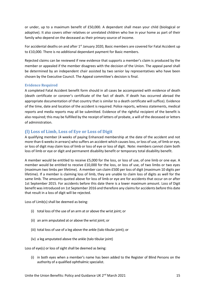or under, up to a maximum benefit of £50,000. A dependant shall mean your child (biological or adoptive). It also covers other relatives or unrelated children who live in your home as part of their family who depend on the deceased as their primary source of income.

For accidental deaths on and after  $1<sup>st</sup>$  January 2020, Basic members are covered for Fatal Accident up to £10,000. There is no additional dependant payment for Basic members.

Rejected claims can be reviewed if new evidence that supports a member's claim is produced by the member or appealed if the member disagrees with the decision of the Union. The appeal panel shall be determined by an independent chair assisted by two senior lay representatives who have been chosen by the Executive Council. The Appeal committee's decision is final.

## **Evidence Required**

A completed Fatal Accident benefit form should in all cases be accompanied with evidence of death (death certificate or coroner's certificate of the fact of death. If death has occurred abroad the appropriate documentation of that country that is similar to a death certificate will suffice). Evidence of the time, date and location of the accident is required. Police reports, witness statements, medical reports and media reports may all be submitted. Evidence of the rightful recipient of the benefit is also required; this may be fulfilled by the receipt of letters of probate, a will of the deceased or letters of administration.

## <span id="page-15-0"></span>**(l) Loss of Limb, Loss of Eye or Loss of Digit**

A qualifying member (4 weeks of paying Enhanced membership at the date of the accident and not more than 6 weeks in arrears) who suffers an accident which causes loss, or loss of use, of limb or eye, or loss of digit may claim loss of limb or loss of eye or loss of digit. Note: members cannot claim both loss of limb or eye or digit and permanent disability benefit or temporary total disability benefit.

A member would be entitled to receive £5,000 for the loss, or loss of use, of one limb or one eye. A member would be entitled to receive £10,000 for the loss, or loss of use, of two limbs or two eyes (maximum two limbs per lifetime). A member can claim £500 per loss of digit (maximum 10 digits per lifetime). If a member is claiming loss of limb, they are unable to claim loss of digits as well for the same limb. The amounts quoted above for loss of limb or eye are for accidents that occur on or after 1st September 2015. For accidents before this date there is a lower maximum amount. Loss of Digit benefit was introduced on 1st September 2016 and therefore any claims for accidents before this date that result in a loss of digit will be rejected.

Loss of Limb(s) shall be deemed as being:

- (i) total loss of the use of an arm at or above the wrist joint; or
- (ii) an arm amputated at or above the wrist joint; or
- (iii) total loss of use of a leg above the ankle (talo tibular joint); or
- (iv) a leg amputated above the ankle (talo tibular joint)

Loss of eye(s) or loss of sight shall be deemed as being:

(i) in both eyes when a member's name has been added to the Register of Blind Persons on the authority of a qualified ophthalmic specialist.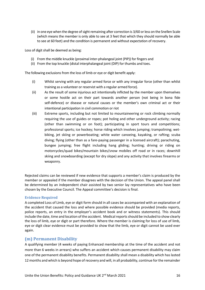(ii) in one eye when the degree of sight remaining after correction is 3/60 or less on the Snellen Scale (which means the member is only able to see at 3 feet that which they should normally be able to see at 60 feet) and the condition is permanent and without expectation of recovery.

Loss of digit shall be deemed as being:

- (i) From the middle knuckle (proximal inter-phalangeal joint (PIP)) for fingers and
- (ii) From the top knuckle (distal interphalangeal joint (DIP) for thumbs and toes.

The following exclusions from the loss of limb or eye or digit benefit apply:

- (i) Whilst serving with any regular armed force or with any irregular force (other than whilst training as a volunteer or reservist with a regular armed force).
- (ii) As the result of some injurious act intentionally inflicted by the member upon themselves or some hostile act on their part towards another person (not being in bona fide self-defence) or disease or natural causes or the member's own criminal act or their intentional participation in civil commotion or riot
- (iii) Extreme sports, including but not limited to mountaineering or rock climbing normally requiring the use of guides or ropes; pot holing and other underground activity; racing (other than swimming or on foot); participating in sport tours and competitions; professional sports; ice hockey; horse riding which involves jumping; trampolining; wetbiking, jet skiing or powerboating; white water canoeing, kayaking, or rafting; scuba diving; flying (other than as a fare-paying passenger in a licensed aircraft); parachuting, bungee jumping; free flight including hang gliding; hunting; driving or riding on motorcycles/quad bikes/mountain bikes/snow mobiles off road or in races; downhill skiing and snowboarding (except for dry slope) and any activity that involves firearms or weaponry.

Rejected claims can be reviewed if new evidence that supports a member's claim is produced by the member or appealed if the member disagrees with the decision of the Union. The appeal panel shall be determined by an independent chair assisted by two senior lay representatives who have been chosen by the Executive Council. The Appeal committee's decision is final.

#### **Evidence Required**

A completed Loss of Limb, eye or digit form should in all cases be accompanied with an explanation of the accident that caused the loss and where possible evidence should be provided (media reports, police reports, an entry in the employer's accident book and or witness statements). This should include the date, time and location of the accident. Medical reports should be included to show clearly the loss of limb, eye or digit or part therefore. Where the member is claiming for loss of use of limb, eye or digit clear evidence must be provided to show that the limb, eye or digit cannot be used ever again.

## <span id="page-16-0"></span>**(m) Permanent Disability**

A qualifying member (4 weeks of paying Enhanced membership at the time of the accident and not more than 6 weeks in arrears) who suffers an accident which causes permanent disability may claim one of the permanent disability benefits. Permanent disability shall mean a disability which has lasted 12 months and which is beyond hope of recovery and will, in all probability, continue for the remainder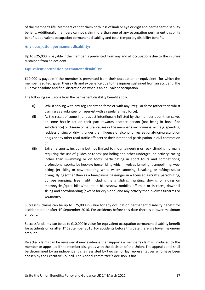of the member's life. Members cannot claim both loss of limb or eye or digit and permanent disability benefit. Additionally members cannot claim more than one of any occupation permanent disability benefit, equivalent occupation permanent disability and total temporary disability benefit.

## <span id="page-17-0"></span>**Any occupation permanent disability:**

Up to £25,000 is payable if the member is prevented from any and all occupations due to the injuries sustained from an accident.

## <span id="page-17-1"></span>**Equivalent occupation permanent disability:**

£10,000 is payable if the member is prevented from their occupation or equivalent for which the member is suited, given their skills and experience due to the injuries sustained from an accident. The EC have absolute and final discretion on what is an equivalent occupation.

The following exclusions from the permanent disability benefit apply:

- (i) Whilst serving with any regular armed force or with any irregular force (other than whilst training as a volunteer or reservist with a regular armed force).
- (ii) As the result of some injurious act intentionally inflicted by the member upon themselves or some hostile act on their part towards another person (not being in bona fide self-defence) or disease or natural causes or the member's own criminal act (e.g. speeding, reckless driving or driving under the influence of alcohol or recreational/non-prescription drugs or any other road traffic offence) or their intentional participation in civil commotion or
- (iii) Extreme sports, including but not limited to mountaineering or rock climbing normally requiring the use of guides or ropes; pot holing and other underground activity; racing (other than swimming or on foot); participating in sport tours and competitions; professional sports; ice hockey; horse riding which involves jumping; trampolining; wetbiking, jet skiing or powerboating; white water canoeing, kayaking, or rafting; scuba diving; flying (other than as a fare-paying passenger in a licensed aircraft); parachuting, bungee jumping; free flight including hang gliding; hunting; driving or riding on motorcycles/quad bikes/mountain bikes/snow mobiles off road or in races; downhill skiing and snowboarding (except for dry slope) and any activity that involves firearms or weaponry.

Successful claims can be up to £25,000 in value for any occupation permanent disability benefit for accidents on or after 1<sup>st</sup> September 2016. For accidents before this date there is a lower maximum amount.

Successful claims can be up to £10,000 in value for equivalent occupation permanent disability benefit for accidents on or after  $1<sup>st</sup>$  September 2016. For accidents before this date there is a lower maximum amount.

Rejected claims can be reviewed if new evidence that supports a member's claim is produced by the member or appealed if the member disagrees with the decision of the Union. The appeal panel shall be determined by an independent chair assisted by two senior lay representatives who have been chosen by the Executive Council. The Appeal committee's decision is final.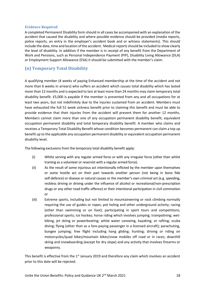## **Evidence Required**

A completed Permanent Disability form should in all cases be accompanied with an explanation of the accident that caused the disability and where possible evidence should be provided (media reports, police reports, an entry in the employer's accident book and or witness statements). This should include the date, time and location of the accident. Medical reports should be included to show clearly the level of disability. In addition if the member is in receipt of any benefit from the Department of Work and Pensions, such as Personal Independence Payment (PIP), Disability Living Allowance (DLA) or Employment Support Allowance (ESA) it should be submitted with the member's claim.

# <span id="page-18-0"></span>**(n) Temporary Total Disability**

A qualifying member (4 weeks of paying Enhanced membership at the time of the accident and not more than 6 weeks in arrears) who suffers an accident which causes total disability which has lasted more than 12 months and is expected to last at least more than 24 months may claim temporary total disability benefit. £5,000 is payable if the member is prevented from any and all occupations for at least two years, but not indefinitely due to the injuries sustained from an accident. Members must have exhausted the full 51 week sickness benefit prior to claiming this benefit and must be able to provide evidence that their injuries from the accident will prevent them for another 12 months. Members cannot claim more than one of any occupation permanent disability benefit, equivalent occupation permanent disability and total temporary disability benefit. A member who claims and receives a Temporary Total Disability Benefit whose condition becomes permanent can claim a top up benefit up to the applicable any occupation permanent disability or equivalent occupation permanent disability level.

The following exclusions from the temporary total disability benefit apply:

- (i) Whilst serving with any regular armed force or with any irregular force (other than whilst training as a volunteer or reservist with a regular armed force).
- (ii) As the result of some injurious act intentionally inflicted by the member upon themselves or some hostile act on their part towards another person (not being in bona fide self-defence) or disease or natural causes or the member's own criminal act (e.g. speeding, reckless driving or driving under the influence of alcohol or recreational/non-prescription drugs or any other road traffic offence) or their intentional participation in civil commotion or
- (iii) Extreme sports, including but not limited to mountaineering or rock climbing normally requiring the use of guides or ropes; pot holing and other underground activity; racing (other than swimming or on foot); participating in sport tours and competitions; professional sports; ice hockey; horse riding which involves jumping; trampolining; wetbiking, jet skiing or powerboating; white water canoeing, kayaking, or rafting; scuba diving; flying (other than as a fare-paying passenger in a licensed aircraft); parachuting, bungee jumping; free flight including hang gliding; hunting; driving or riding on motorcycles/quad bikes/mountain bikes/snow mobiles off road or in races; downhill skiing and snowboarding (except for dry slope) and any activity that involves firearms or weaponry.

This benefit is effective from the 1<sup>st</sup> January 2019 and therefore any claim which involves an accident prior to this date will be rejected.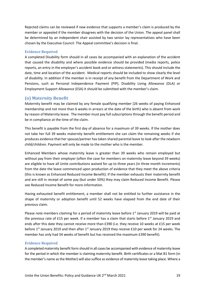Rejected claims can be reviewed if new evidence that supports a member's claim is produced by the member or appealed if the member disagrees with the decision of the Union. The appeal panel shall be determined by an independent chair assisted by two senior lay representatives who have been chosen by the Executive Council. The Appeal committee's decision is final.

#### **Evidence Required**

A completed Disability form should in all cases be accompanied with an explanation of the accident that caused the disability and where possible evidence should be provided (media reports, police reports, an entry in the employer's accident book and or witness statements). This should include the date, time and location of the accident. Medical reports should be included to show clearly the level of disability. In addition if the member is in receipt of any benefit from the Department of Work and Pensions, such as Personal Independence Payment (PIP), Disability Living Allowance (DLA) or Employment Support Allowance (ESA) it should be submitted with the member's claim.

## <span id="page-19-0"></span>**(o) Maternity Benefit**

Maternity benefit may be claimed by any female qualifying member (26 weeks of paying Enhanced membership and not more than 6 weeks in arrears at the date of the birth) who is absent from work by reason of Maternity leave. The member must pay full subscriptions through the benefit period and be in compliance at the time of the claim.

This benefit is payable from the first day of absence for a maximum of 39 weeks. If the mother does not take her full 39 weeks maternity benefit entitlement she can claim the remaining weeks if she produces evidence that her spouse/partner has taken shared parental leave to look after the newborn child/children. Payment will only be made to the mother who is the member.

Enhanced Members whose maternity leave is greater than 39 weeks who remain employed but without pay from their employer (often the case for members on maternity leave beyond 39 weeks) are eligible to have all Unite contributions waived for up to three years (in three month increments) from the date the leave commenced upon production of evidence that they meet the above criteria (this is known as Enhanced Reduced Income Benefit). If the member exhausts their maternity benefit and are still in receipt of some pay (but under 50%) they may claim Reduced Income Benefit. Please see Reduced Income Benefit for more information.

Having exhausted benefit entitlement, a member shall not be entitled to further assistance in the shape of maternity or adoption benefit until 52 weeks have elapsed from the end date of their previous claim.

Please note members claiming for a period of maternity leave before 1<sup>st</sup> January 2019 will be paid at the previous rate of £15 per week. If a member has a claim that starts before  $1<sup>st</sup>$  January 2019 and ends after this date they cannot receive more than £390 (i.e. they receive 10 weeks at £15 per week before 1<sup>st</sup> January 2019 and then after 1<sup>st</sup> January 2019 they receive £10 per week for 24 weeks. The member has only had 34 weeks of benefit but has received the maximum £390 benefit).

#### **Evidence Required**

A completed maternity benefit form should in all cases be accompanied with evidence of maternity leave for the period in which the member is claiming maternity benefit. Birth certificates or a Mat B1 form (in the member's name as the Mother) will also suffice as evidence of maternity leave taking place. Where a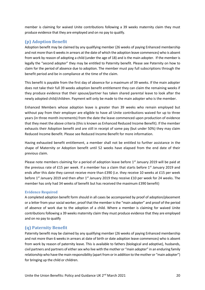member is claiming for waived Unite contributions following a 39 weeks maternity claim they must produce evidence that they are employed and on no pay to qualify.

# <span id="page-20-0"></span>**(p) Adoption Benefit**

Adoption benefit may be claimed by any qualifying member (26 weeks of paying Enhanced membership and not more than 6 weeks in arrears at the date of which the adoption leave commences) who is absent from work by reason of adopting a child (under the age of 18) and is the main adopter. If the member is legally the "second adopter" they may be entitled to Paternity benefit. Please see Paternity on how to claim for the period of absence due to adoption. The member must pay full subscriptions through the benefit period and be in compliance at the time of the claim.

This benefit is payable from the first day of absence for a maximum of 39 weeks. If the main adopter does not take their full 39 weeks adoption benefit entitlement they can claim the remaining weeks if they produce evidence that their spouse/partner has taken shared parental leave to look after the newly adopted child/children. Payment will only be made to the main adopter who is the member.

Enhanced Members whose adoption leave is greater than 39 weeks who remain employed but without pay from their employer are eligible to have all Unite contributions waived for up to three years (in three month increments) from the date the leave commenced upon production of evidence that they meet the above criteria (this is known as Enhanced Reduced Income Benefit). If the member exhausts their Adoption benefit and are still in receipt of some pay (but under 50%) they may claim Reduced Income Benefit. Please see Reduced Income Benefit for more information.

Having exhausted benefit entitlement, a member shall not be entitled to further assistance in the shape of Maternity or Adoption benefit until 52 weeks have elapsed from the end date of their previous claim.

Please note members claiming for a period of adoption leave before  $1<sup>st</sup>$  January 2019 will be paid at the previous rate of £15 per week. If a member has a claim that starts before 1<sup>st</sup> January 2019 and ends after this date they cannot receive more than £390 (i.e. they receive 10 weeks at £15 per week before 1<sup>st</sup> January 2019 and then after 1<sup>st</sup> January 2019 they receive £10 per week for 24 weeks. The member has only had 34 weeks of benefit but has received the maximum £390 benefit)

## **Evidence Required**

A completed adoption benefit form should in all cases be accompanied by proof of adoption/placement or a letter from your social worker, proof that the member is the "main adopter" and proof of the period of absence of work due to the adoption of a child. Where a member is claiming for waived Unite contributions following a 39 weeks maternity claim they must produce evidence that they are employed and on no pay to qualify

# <span id="page-20-1"></span>**(q) Paternity Benefit**

Paternity benefit may be claimed by any qualifying member (26 weeks of paying Enhanced membership and not more than 6 weeks in arrears at date of birth or date adoption leave commences) who is absent from work by reason of paternity leave. This is available to fathers (biological and adoptive), husbands, civil partners and partners of either sex who live with the mother or "main adopter" in an enduring family relationship who have the main responsibility (apart from or in addition to the mother or "main adopter") for bringing up the child or children.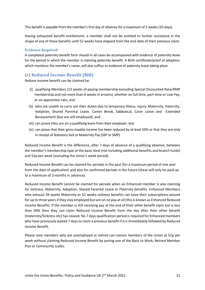This benefit is payable from the member's first day of absence for a maximum of 2 weeks (10 days).

Having exhausted benefit entitlement, a member shall not be entitled to further assistance in the shape of any of these benefits until 52 weeks have elapsed from the end date of their previous claim.

## **Evidence Required**

A completed paternity benefit form should in all cases be accompanied with evidence of paternity leave for the period in which the member is claiming paternity benefit. A Birth certificate/proof of adoption, which mentions the member's name, will also suffice as evidence of paternity leave taking place.

# <span id="page-21-0"></span>**(r) Reduced Income Benefit (RIB)**

Reduce income benefit can be claimed by:

- (i) qualifying Members (13 weeks of paying membership excluding Special Discounted Rate/RMP membership and not more than 6 weeks in arrears), whether on full time, part-time or Low Pay, or an apprentice rate; and
- (ii) who are unable to carry out their duties due to temporary Illness, Injury, Maternity, Paternity, Adoption, Shared Parental Leave, Career Break, Sabbatical, Carer Leave and Extended Bereavement (but are still employed); and
- (iii) can prove they are on a qualifying leave from their employer; and
- (iv) can prove that their gross taxable income has been reduced by at least 50% or that they are only in receipt of Statutory Sick or Maternity Pay (SSP or SMP)

Reduced Income Benefit is the difference, after 7 days of absence of a qualifying absence, between the member's membership type at the basic level (not including additional benefits and branch funds) and 55p per week (excluding the initial 1 week period).

Reduced Income Benefit can be claimed for periods in the past (for a maximum period of one year from the date of application) and also for confirmed periods in the future (these will only be paid up to a maximum of 3 months in advance).

Reduced Income Benefit cannot be claimed for periods when an Enhanced member is also claiming for Sickness, Maternity, Adoption, Shared Parental Leave or Paternity benefits. Enhanced Members who exhaust 39 weeks Maternity or 52 weeks sickness benefits can have their subscriptions waived for up to three years if they stay employed but are on no pay at all (this is known as Enhanced Reduced Income Benefit). If the member is still receiving pay at the end of their other benefit claim but is less than 50% then they can claim Reduced Income Benefit from the day after their other benefit (maternity/Sickness etc) has ceased. No 7 days qualification period is required for Enhanced members who have previously waited 7 days to claim a previous benefit if it is immediately followed by Reduced Income Benefit.

Please note members who are unemployed or retired can remain members of the Union at 55p per week without claiming Reduced Income Benefit by joining one of the Back to Work, Retired Member Plus or Community scales.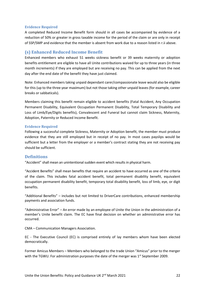## **Evidence Required**

A completed Reduced Income Benefit form should in all cases be accompanied by evidence of a reduction of 50% or greater in gross taxable income for the period of the claim or are only in receipt of SSP/SMP and evidence that the member is absent from work due to a reason listed in r.ii above.

## <span id="page-22-0"></span>**(s) Enhanced Reduced Income Benefit**

Enhanced members who exhaust 51 weeks sickness benefit or 39 weeks maternity or adoption benefits entitlement are eligible to have all Unite contributions waived for up to three years (in three month increments) if they are employed but are receiving no pay. This can be applied from the next day after the end date of the benefit they have just claimed.

Note: Enhanced members taking unpaid dependant carer/compassionate leave would also be eligible for this (up to the three year maximum) but not those taking other unpaid leaves (for example, career breaks or sabbaticals).

Members claiming this benefit remain eligible to accident benefits (Fatal Accident, Any Occupation Permanent Disability, Equivalent Occupation Permanent Disability, Total Temporary Disability and Loss of Limb/Eye/Digits benefits), Convalescent and Funeral but cannot claim Sickness, Maternity, Adoption, Paternity or Reduced Income Benefit.

## <span id="page-22-1"></span>**Evidence Required**

Following a successful complete Sickness, Maternity or Adoption benefit, the member must produce evidence that they are still employed but in receipt of no pay. In most cases payslips would be sufficient but a letter from the employer or a member's contract stating they are not receiving pay should be sufficient.

## <span id="page-22-2"></span>**Definitions**

"Accident" shall mean an unintentional sudden event which results in physical harm.

"Accident Benefits" shall mean benefits that require an accident to have occurred as one of the criteria of the claim. This includes fatal accident benefit, total permanent disability benefit, equivalent occupation permanent disability benefit, temporary total disability benefit, loss of limb, eye, or digit benefits.

"Additional Benefits" – includes but not limited to DriverCare contributions, enhanced membership payments and association funds.

"Administrative Error" – An error made by an employee of Unite the Union in the administration of a member's Unite benefit claim. The EC have final decision on whether an administrative error has occurred.

CMA – Communication Managers Association.

EC - The Executive Council (EC) is comprised entirely of lay members whom have been elected democratically.

Former Amicus Members – Members who belonged to the trade Union "Amicus" prior to the merger with the TGWU. For administration purposes the date of the merger was  $1^{st}$  September 2009.